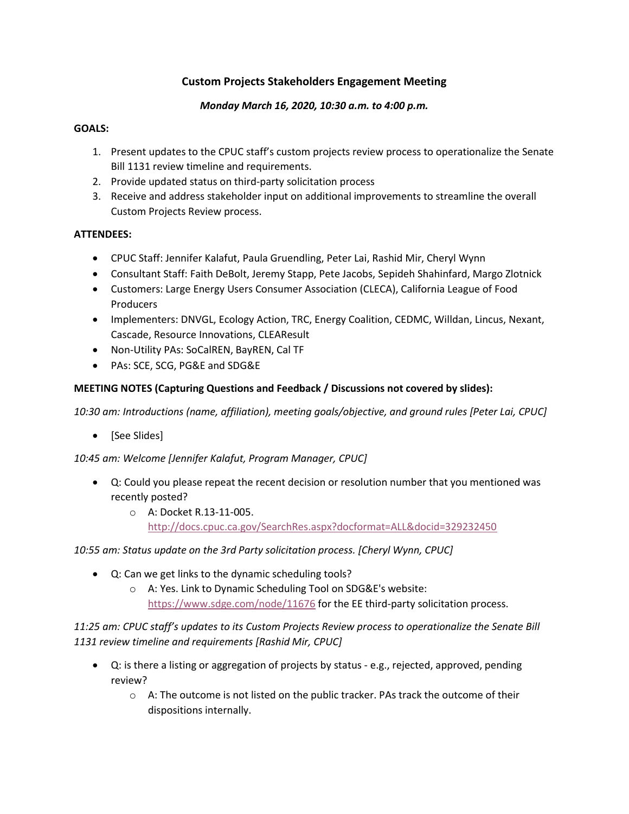## **Custom Projects Stakeholders Engagement Meeting**

#### *Monday March 16, 2020, 10:30 a.m. to 4:00 p.m.*

#### **GOALS:**

- 1. Present updates to the CPUC staff's custom projects review process to operationalize the Senate Bill 1131 review timeline and requirements.
- 2. Provide updated status on third-party solicitation process
- 3. Receive and address stakeholder input on additional improvements to streamline the overall Custom Projects Review process.

### **ATTENDEES:**

- CPUC Staff: Jennifer Kalafut, Paula Gruendling, Peter Lai, Rashid Mir, Cheryl Wynn
- Consultant Staff: Faith DeBolt, Jeremy Stapp, Pete Jacobs, Sepideh Shahinfard, Margo Zlotnick
- Customers: Large Energy Users Consumer Association (CLECA), California League of Food Producers
- Implementers: DNVGL, Ecology Action, TRC, Energy Coalition, CEDMC, Willdan, Lincus, Nexant, Cascade, Resource Innovations, CLEAResult
- Non-Utility PAs: SoCalREN, BayREN, Cal TF
- PAs: SCE, SCG, PG&E and SDG&E

### **MEETING NOTES (Capturing Questions and Feedback / Discussions not covered by slides):**

*10:30 am: Introductions (name, affiliation), meeting goals/objective, and ground rules [Peter Lai, CPUC]*

• [See Slides]

*10:45 am: Welcome [Jennifer Kalafut, Program Manager, CPUC]*

- Q: Could you please repeat the recent decision or resolution number that you mentioned was recently posted?
	- o A: Docket R.13-11-005. <http://docs.cpuc.ca.gov/SearchRes.aspx?docformat=ALL&docid=329232450>

*10:55 am: Status update on the 3rd Party solicitation process. [Cheryl Wynn, CPUC]*

- Q: Can we get links to the dynamic scheduling tools?
	- o A: Yes. Link to Dynamic Scheduling Tool on SDG&E's website: <https://www.sdge.com/node/11676> for the EE third-party solicitation process.

*11:25 am: CPUC staff's updates to its Custom Projects Review process to operationalize the Senate Bill 1131 review timeline and requirements [Rashid Mir, CPUC]* 

- Q: is there a listing or aggregation of projects by status e.g., rejected, approved, pending review?
	- $\circ$  A: The outcome is not listed on the public tracker. PAs track the outcome of their dispositions internally.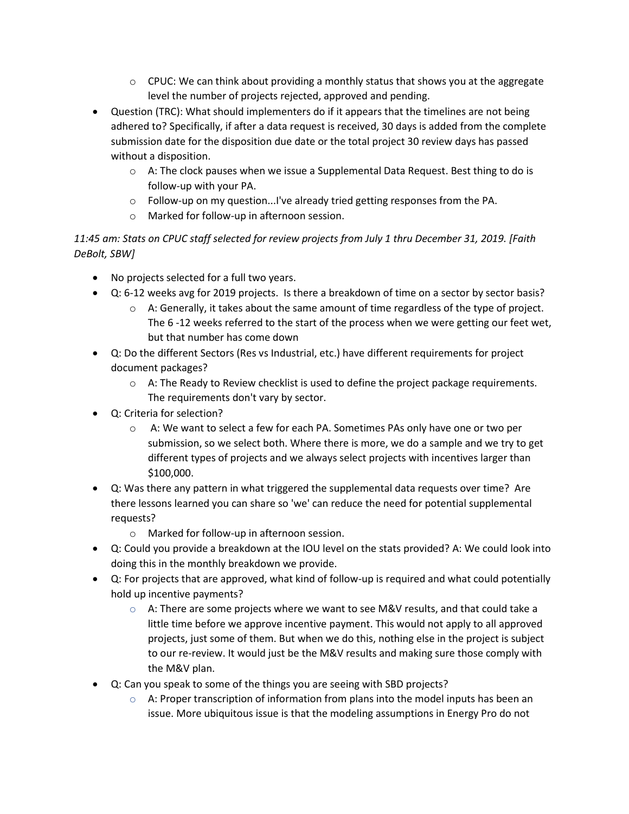- $\circ$  CPUC: We can think about providing a monthly status that shows you at the aggregate level the number of projects rejected, approved and pending.
- Question (TRC): What should implementers do if it appears that the timelines are not being adhered to? Specifically, if after a data request is received, 30 days is added from the complete submission date for the disposition due date or the total project 30 review days has passed without a disposition.
	- $\circ$  A: The clock pauses when we issue a Supplemental Data Request. Best thing to do is follow-up with your PA.
	- $\circ$  Follow-up on my question...I've already tried getting responses from the PA.
	- o Marked for follow-up in afternoon session.

## *11:45 am: Stats on CPUC staff selected for review projects from July 1 thru December 31, 2019. [Faith DeBolt, SBW]*

- No projects selected for a full two years.
- Q: 6-12 weeks avg for 2019 projects. Is there a breakdown of time on a sector by sector basis?
	- $\circ$  A: Generally, it takes about the same amount of time regardless of the type of project. The 6 -12 weeks referred to the start of the process when we were getting our feet wet, but that number has come down
- Q: Do the different Sectors (Res vs Industrial, etc.) have different requirements for project document packages?
	- $\circ$  A: The Ready to Review checklist is used to define the project package requirements. The requirements don't vary by sector.
- Q: Criteria for selection?
	- o A: We want to select a few for each PA. Sometimes PAs only have one or two per submission, so we select both. Where there is more, we do a sample and we try to get different types of projects and we always select projects with incentives larger than \$100,000.
- Q: Was there any pattern in what triggered the supplemental data requests over time? Are there lessons learned you can share so 'we' can reduce the need for potential supplemental requests?
	- o Marked for follow-up in afternoon session.
- Q: Could you provide a breakdown at the IOU level on the stats provided? A: We could look into doing this in the monthly breakdown we provide.
- Q: For projects that are approved, what kind of follow-up is required and what could potentially hold up incentive payments?
	- $\circ$  A: There are some projects where we want to see M&V results, and that could take a little time before we approve incentive payment. This would not apply to all approved projects, just some of them. But when we do this, nothing else in the project is subject to our re-review. It would just be the M&V results and making sure those comply with the M&V plan.
- Q: Can you speak to some of the things you are seeing with SBD projects?
	- $\circ$  A: Proper transcription of information from plans into the model inputs has been an issue. More ubiquitous issue is that the modeling assumptions in Energy Pro do not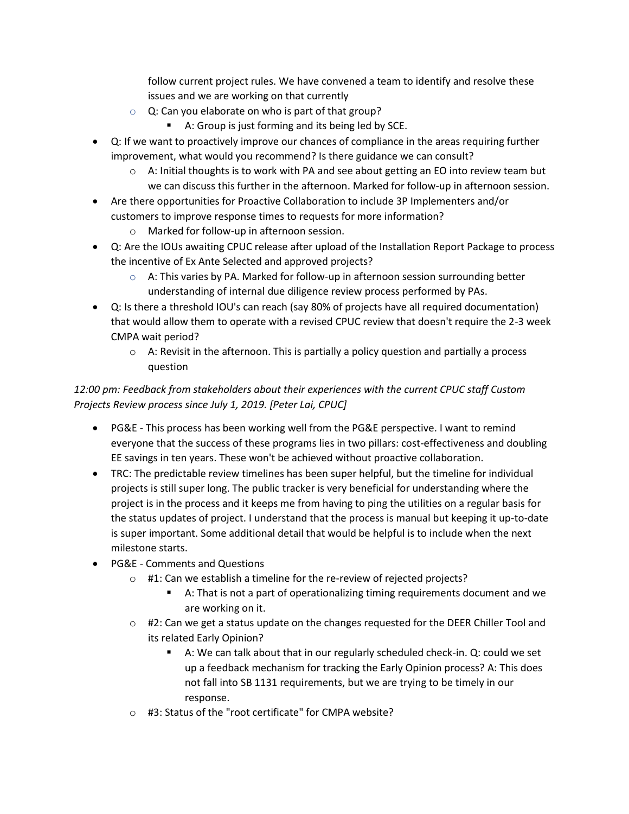follow current project rules. We have convened a team to identify and resolve these issues and we are working on that currently

- $\circ$  Q: Can you elaborate on who is part of that group?
	- A: Group is just forming and its being led by SCE.
- Q: If we want to proactively improve our chances of compliance in the areas requiring further improvement, what would you recommend? Is there guidance we can consult?
	- $\circ$  A: Initial thoughts is to work with PA and see about getting an EO into review team but we can discuss this further in the afternoon. Marked for follow-up in afternoon session.
- Are there opportunities for Proactive Collaboration to include 3P Implementers and/or customers to improve response times to requests for more information?
	- o Marked for follow-up in afternoon session.
- Q: Are the IOUs awaiting CPUC release after upload of the Installation Report Package to process the incentive of Ex Ante Selected and approved projects?
	- $\circ$  A: This varies by PA. Marked for follow-up in afternoon session surrounding better understanding of internal due diligence review process performed by PAs.
- Q: Is there a threshold IOU's can reach (say 80% of projects have all required documentation) that would allow them to operate with a revised CPUC review that doesn't require the 2-3 week CMPA wait period?
	- $\circ$  A: Revisit in the afternoon. This is partially a policy question and partially a process question

# *12:00 pm: Feedback from stakeholders about their experiences with the current CPUC staff Custom Projects Review process since July 1, 2019. [Peter Lai, CPUC]*

- PG&E This process has been working well from the PG&E perspective. I want to remind everyone that the success of these programs lies in two pillars: cost-effectiveness and doubling EE savings in ten years. These won't be achieved without proactive collaboration.
- TRC: The predictable review timelines has been super helpful, but the timeline for individual projects is still super long. The public tracker is very beneficial for understanding where the project is in the process and it keeps me from having to ping the utilities on a regular basis for the status updates of project. I understand that the process is manual but keeping it up-to-date is super important. Some additional detail that would be helpful is to include when the next milestone starts.
- PG&E Comments and Questions
	- o #1: Can we establish a timeline for the re-review of rejected projects?
		- A: That is not a part of operationalizing timing requirements document and we are working on it.
	- $\circ$  #2: Can we get a status update on the changes requested for the DEER Chiller Tool and its related Early Opinion?
		- A: We can talk about that in our regularly scheduled check-in. Q: could we set up a feedback mechanism for tracking the Early Opinion process? A: This does not fall into SB 1131 requirements, but we are trying to be timely in our response.
	- o #3: Status of the "root certificate" for CMPA website?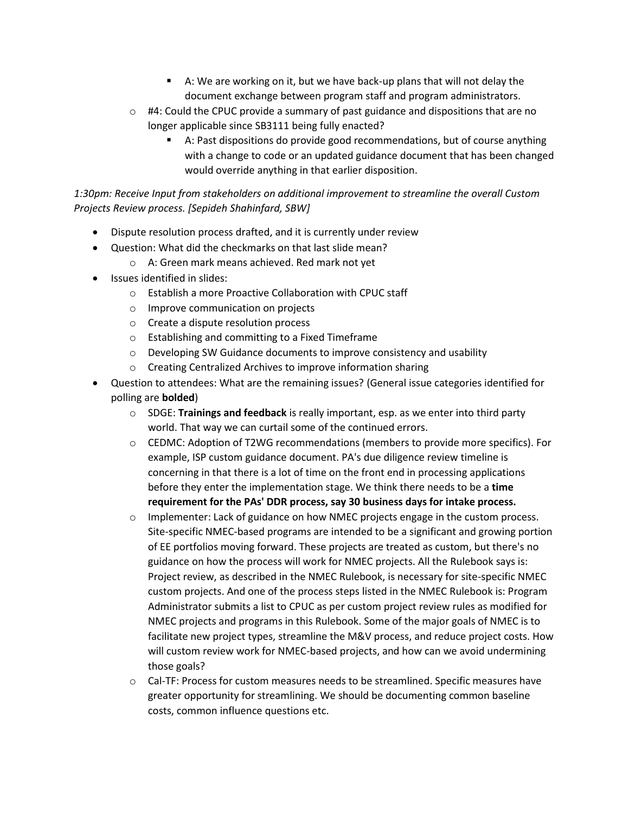- A: We are working on it, but we have back-up plans that will not delay the document exchange between program staff and program administrators.
- $\circ$  #4: Could the CPUC provide a summary of past guidance and dispositions that are no longer applicable since SB3111 being fully enacted?
	- A: Past dispositions do provide good recommendations, but of course anything with a change to code or an updated guidance document that has been changed would override anything in that earlier disposition.

*1:30pm: Receive Input from stakeholders on additional improvement to streamline the overall Custom Projects Review process. [Sepideh Shahinfard, SBW]*

- Dispute resolution process drafted, and it is currently under review
- Question: What did the checkmarks on that last slide mean?
	- o A: Green mark means achieved. Red mark not yet
- Issues identified in slides:
	- o Establish a more Proactive Collaboration with CPUC staff
	- o Improve communication on projects
	- o Create a dispute resolution process
	- o Establishing and committing to a Fixed Timeframe
	- $\circ$  Developing SW Guidance documents to improve consistency and usability
	- o Creating Centralized Archives to improve information sharing
- Question to attendees: What are the remaining issues? (General issue categories identified for polling are **bolded**)
	- o SDGE: **Trainings and feedback** is really important, esp. as we enter into third party world. That way we can curtail some of the continued errors.
	- $\circ$  CEDMC: Adoption of T2WG recommendations (members to provide more specifics). For example, ISP custom guidance document. PA's due diligence review timeline is concerning in that there is a lot of time on the front end in processing applications before they enter the implementation stage. We think there needs to be a **time requirement for the PAs' DDR process, say 30 business days for intake process.**
	- $\circ$  Implementer: Lack of guidance on how NMEC projects engage in the custom process. Site-specific NMEC-based programs are intended to be a significant and growing portion of EE portfolios moving forward. These projects are treated as custom, but there's no guidance on how the process will work for NMEC projects. All the Rulebook says is: Project review, as described in the NMEC Rulebook, is necessary for site-specific NMEC custom projects. And one of the process steps listed in the NMEC Rulebook is: Program Administrator submits a list to CPUC as per custom project review rules as modified for NMEC projects and programs in this Rulebook. Some of the major goals of NMEC is to facilitate new project types, streamline the M&V process, and reduce project costs. How will custom review work for NMEC-based projects, and how can we avoid undermining those goals?
	- $\circ$  Cal-TF: Process for custom measures needs to be streamlined. Specific measures have greater opportunity for streamlining. We should be documenting common baseline costs, common influence questions etc.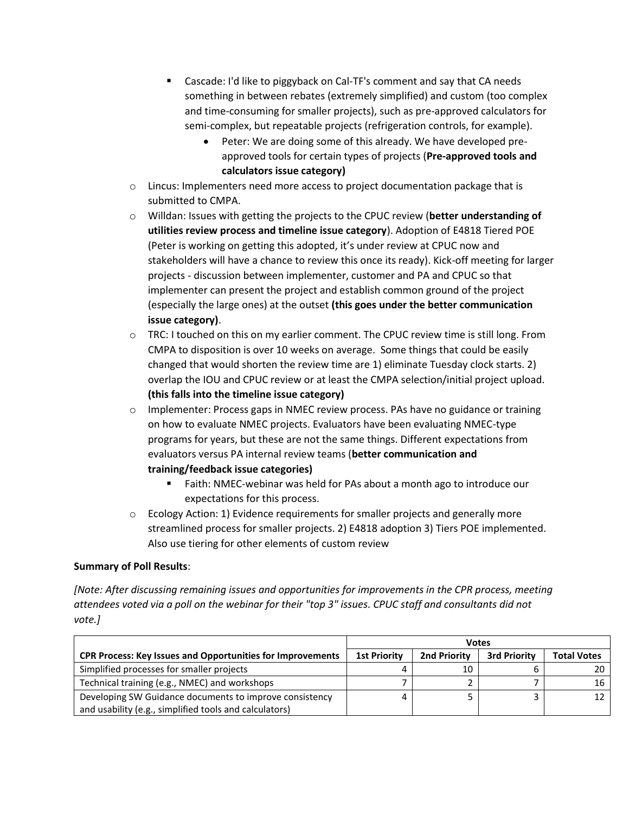- Cascade: I'd like to piggyback on Cal-TF's comment and say that CA needs something in between rebates (extremely simplified) and custom (too complex and time-consuming for smaller projects), such as pre-approved calculators for semi-complex, but repeatable projects (refrigeration controls, for example).
	- Peter: We are doing some of this already. We have developed preapproved tools for certain types of projects (**Pre-approved tools and calculators issue category)**
- $\circ$  Lincus: Implementers need more access to project documentation package that is submitted to CMPA.
- o Willdan: Issues with getting the projects to the CPUC review (**better understanding of utilities review process and timeline issue category**). Adoption of E4818 Tiered POE (Peter is working on getting this adopted, it's under review at CPUC now and stakeholders will have a chance to review this once its ready). Kick-off meeting for larger projects - discussion between implementer, customer and PA and CPUC so that implementer can present the project and establish common ground of the project (especially the large ones) at the outset **(this goes under the better communication issue category)**.
- $\circ$  TRC: I touched on this on my earlier comment. The CPUC review time is still long. From CMPA to disposition is over 10 weeks on average. Some things that could be easily changed that would shorten the review time are 1) eliminate Tuesday clock starts. 2) overlap the IOU and CPUC review or at least the CMPA selection/initial project upload. **(this falls into the timeline issue category)**
- $\circ$  Implementer: Process gaps in NMEC review process. PAs have no guidance or training on how to evaluate NMEC projects. Evaluators have been evaluating NMEC-type programs for years, but these are not the same things. Different expectations from evaluators versus PA internal review teams (**better communication and training/feedback issue categories)** 
	- Faith: NMEC-webinar was held for PAs about a month ago to introduce our expectations for this process.
- $\circ$  Ecology Action: 1) Evidence requirements for smaller projects and generally more streamlined process for smaller projects. 2) E4818 adoption 3) Tiers POE implemented. Also use tiering for other elements of custom review

### **Summary of Poll Results**:

*[Note: After discussing remaining issues and opportunities for improvements in the CPR process, meeting attendees voted via a poll on the webinar for their "top 3" issues. CPUC staff and consultants did not vote.]*

|                                                                   | <b>Votes</b>        |              |                     |                    |
|-------------------------------------------------------------------|---------------------|--------------|---------------------|--------------------|
| <b>CPR Process: Key Issues and Opportunities for Improvements</b> | <b>1st Priority</b> | 2nd Priority | <b>3rd Priority</b> | <b>Total Votes</b> |
| Simplified processes for smaller projects                         | 4                   | 10           |                     |                    |
| Technical training (e.g., NMEC) and workshops                     |                     |              |                     | 16                 |
| Developing SW Guidance documents to improve consistency           | 4                   |              |                     |                    |
| and usability (e.g., simplified tools and calculators)            |                     |              |                     |                    |